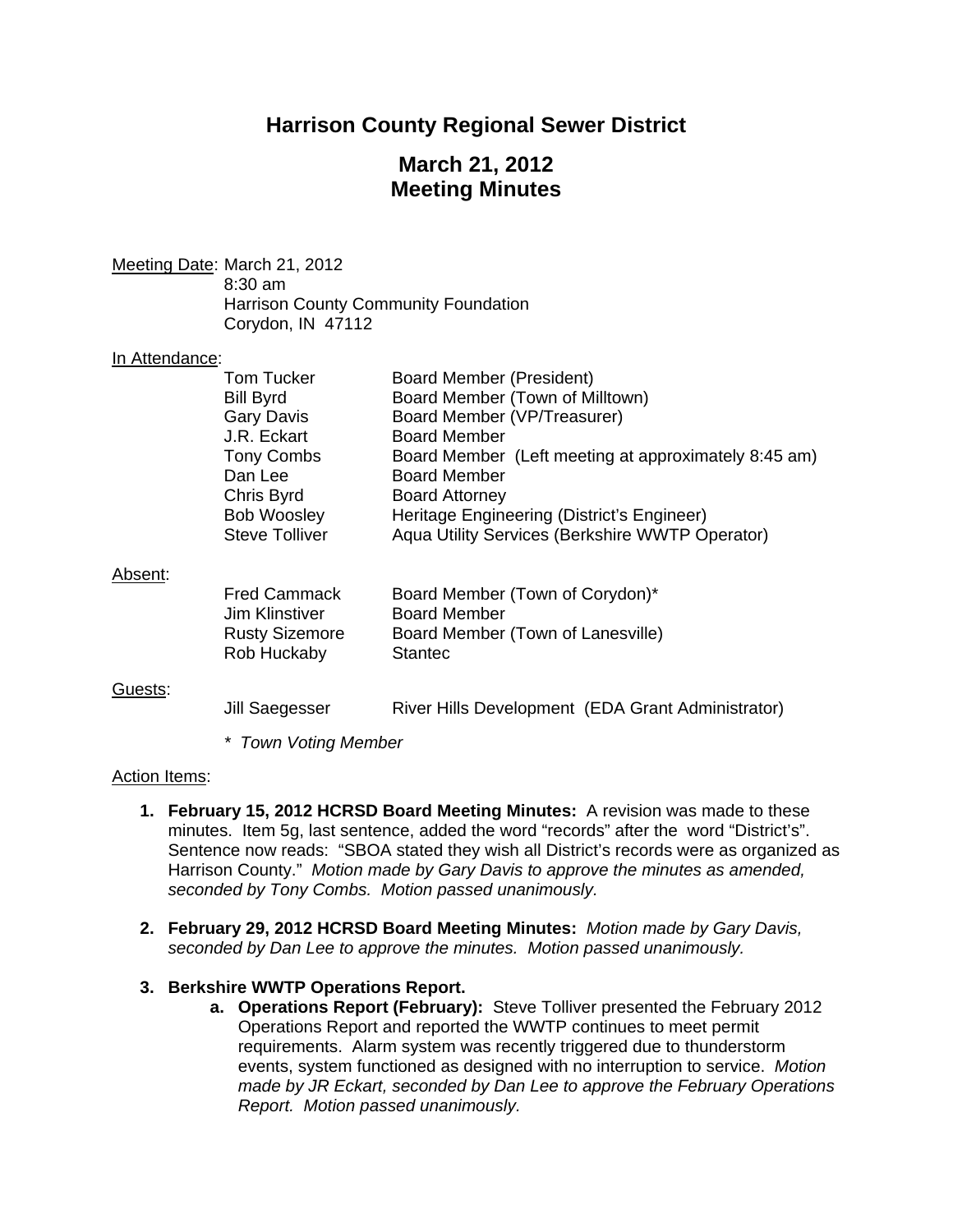# **Harrison County Regional Sewer District**

# **March 21, 2012 Meeting Minutes**

Meeting Date: March 21, 2012 8:30 am Harrison County Community Foundation Corydon, IN 47112

#### In Attendance:

| Tom Tucker<br>Board Member (President)                                    |  |
|---------------------------------------------------------------------------|--|
| Board Member (Town of Milltown)<br><b>Bill Byrd</b>                       |  |
| Board Member (VP/Treasurer)<br><b>Gary Davis</b>                          |  |
| J.R. Eckart<br><b>Board Member</b>                                        |  |
| <b>Tony Combs</b><br>Board Member (Left meeting at approximately 8:45 am) |  |
| <b>Board Member</b><br>Dan Lee                                            |  |
| Chris Byrd<br><b>Board Attorney</b>                                       |  |
| <b>Bob Woosley</b><br>Heritage Engineering (District's Engineer)          |  |
| <b>Steve Tolliver</b><br>Aqua Utility Services (Berkshire WWTP Operator)  |  |
|                                                                           |  |
| Absent:                                                                   |  |
| <b>Fred Cammack</b><br>Board Member (Town of Corydon)*                    |  |
| <b>Board Member</b><br>Jim Klinstiver                                     |  |
| <b>Rusty Sizemore</b><br>Board Member (Town of Lanesville)                |  |
| <b>Stantec</b><br>Rob Huckaby                                             |  |
|                                                                           |  |
| Guests:                                                                   |  |
| River Hills Development (EDA Grant Administrator)<br>Jill Saegesser       |  |

*\* Town Voting Member* 

### Action Items:

- **1. February 15, 2012 HCRSD Board Meeting Minutes:** A revision was made to these minutes. Item 5g, last sentence, added the word "records" after the word "District's". Sentence now reads: "SBOA stated they wish all District's records were as organized as Harrison County." *Motion made by Gary Davis to approve the minutes as amended, seconded by Tony Combs. Motion passed unanimously.*
- **2. February 29, 2012 HCRSD Board Meeting Minutes:** *Motion made by Gary Davis, seconded by Dan Lee to approve the minutes. Motion passed unanimously.*

### **3. Berkshire WWTP Operations Report.**

**a. Operations Report (February):** Steve Tolliver presented the February 2012 Operations Report and reported the WWTP continues to meet permit requirements. Alarm system was recently triggered due to thunderstorm events, system functioned as designed with no interruption to service. *Motion made by JR Eckart, seconded by Dan Lee to approve the February Operations Report. Motion passed unanimously.*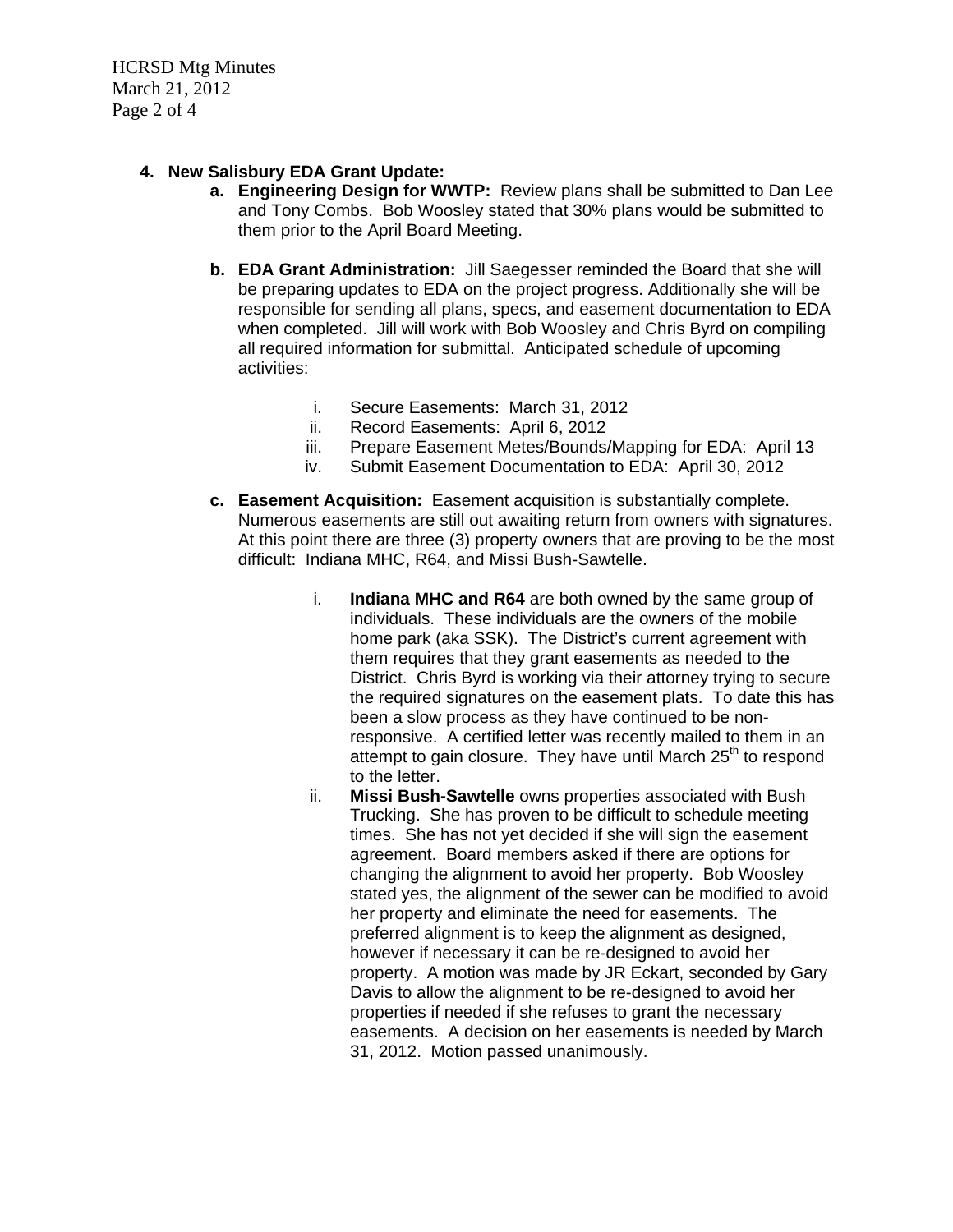HCRSD Mtg Minutes March 21, 2012 Page 2 of 4

## **4. New Salisbury EDA Grant Update:**

- **a. Engineering Design for WWTP:** Review plans shall be submitted to Dan Lee and Tony Combs. Bob Woosley stated that 30% plans would be submitted to them prior to the April Board Meeting.
- **b. EDA Grant Administration:** Jill Saegesser reminded the Board that she will be preparing updates to EDA on the project progress. Additionally she will be responsible for sending all plans, specs, and easement documentation to EDA when completed. Jill will work with Bob Woosley and Chris Byrd on compiling all required information for submittal. Anticipated schedule of upcoming activities:
	- i. Secure Easements: March 31, 2012
	- ii. Record Easements: April 6, 2012
	- iii. Prepare Easement Metes/Bounds/Mapping for EDA: April 13
	- iv. Submit Easement Documentation to EDA: April 30, 2012
- **c. Easement Acquisition:** Easement acquisition is substantially complete. Numerous easements are still out awaiting return from owners with signatures. At this point there are three (3) property owners that are proving to be the most difficult: Indiana MHC, R64, and Missi Bush-Sawtelle.
	- i. **Indiana MHC and R64** are both owned by the same group of individuals. These individuals are the owners of the mobile home park (aka SSK). The District's current agreement with them requires that they grant easements as needed to the District. Chris Byrd is working via their attorney trying to secure the required signatures on the easement plats. To date this has been a slow process as they have continued to be nonresponsive. A certified letter was recently mailed to them in an attempt to gain closure. They have until March  $25<sup>th</sup>$  to respond to the letter.
	- ii. **Missi Bush-Sawtelle** owns properties associated with Bush Trucking. She has proven to be difficult to schedule meeting times. She has not yet decided if she will sign the easement agreement. Board members asked if there are options for changing the alignment to avoid her property. Bob Woosley stated yes, the alignment of the sewer can be modified to avoid her property and eliminate the need for easements. The preferred alignment is to keep the alignment as designed, however if necessary it can be re-designed to avoid her property. A motion was made by JR Eckart, seconded by Gary Davis to allow the alignment to be re-designed to avoid her properties if needed if she refuses to grant the necessary easements. A decision on her easements is needed by March 31, 2012. Motion passed unanimously.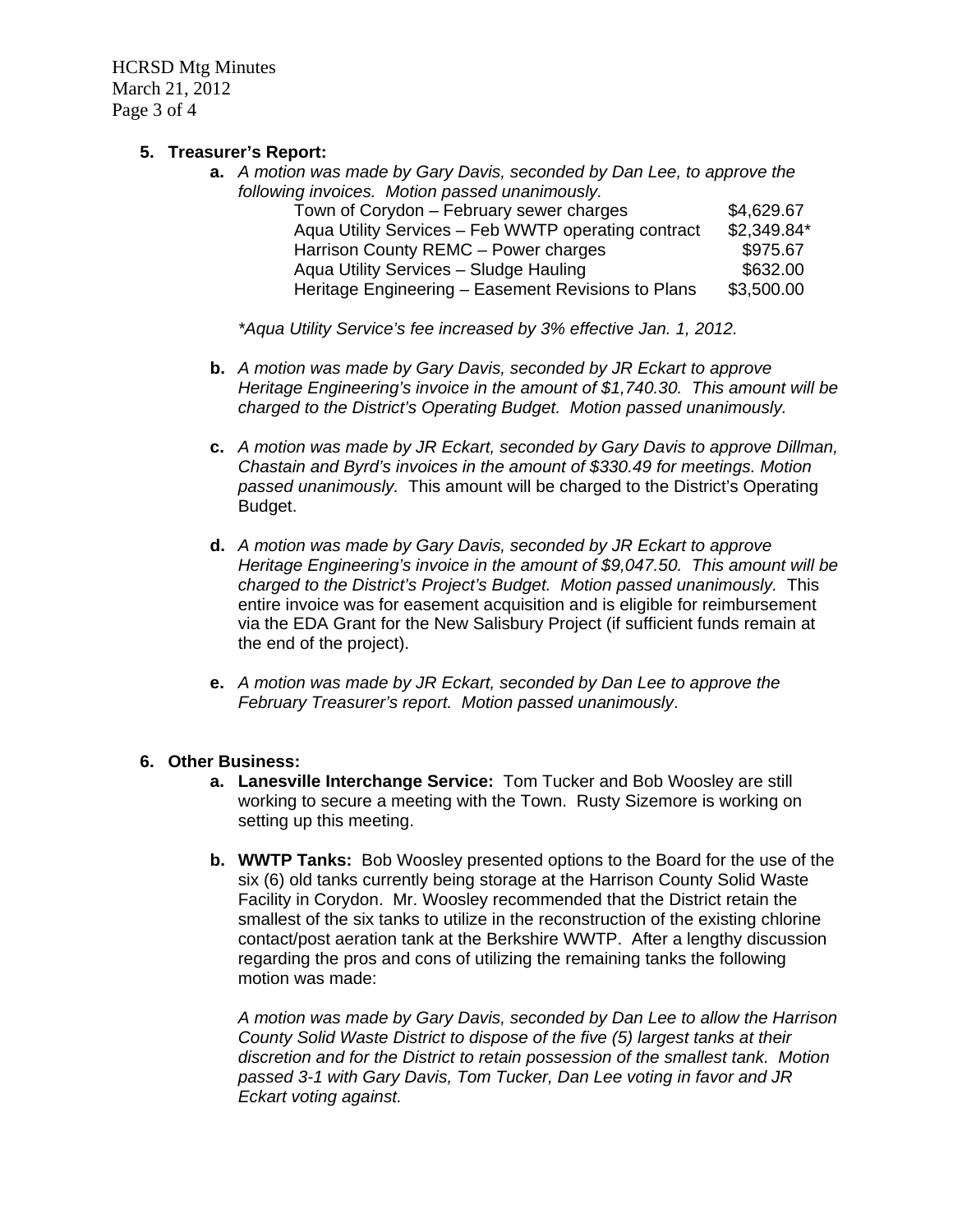HCRSD Mtg Minutes March 21, 2012 Page 3 of 4

### **5. Treasurer's Report:**

**a.** *A motion was made by Gary Davis, seconded by Dan Lee, to approve the following invoices. Motion passed unanimously.*  Town of Corydon – February sewer charges \$4,629.67 Aqua Utility Services – Feb WWTP operating contract \$2,349.84\* Harrison County REMC – Power charges **\$975.67** Aqua Utility Services - Sludge Hauling **\$632.00** 

*\*Aqua Utility Service's fee increased by 3% effective Jan. 1, 2012.* 

**b.** *A motion was made by Gary Davis, seconded by JR Eckart to approve Heritage Engineering's invoice in the amount of \$1,740.30. This amount will be charged to the District's Operating Budget. Motion passed unanimously.* 

Heritage Engineering – Easement Revisions to Plans \$3,500.00

- **c.** *A motion was made by JR Eckart, seconded by Gary Davis to approve Dillman, Chastain and Byrd's invoices in the amount of \$330.49 for meetings. Motion passed unanimously.* This amount will be charged to the District's Operating Budget.
- **d.** *A motion was made by Gary Davis, seconded by JR Eckart to approve Heritage Engineering's invoice in the amount of \$9,047.50. This amount will be charged to the District's Project's Budget. Motion passed unanimously.* This entire invoice was for easement acquisition and is eligible for reimbursement via the EDA Grant for the New Salisbury Project (if sufficient funds remain at the end of the project).
- **e.** *A motion was made by JR Eckart, seconded by Dan Lee to approve the February Treasurer's report. Motion passed unanimously*.

## **6. Other Business:**

- **a. Lanesville Interchange Service:** Tom Tucker and Bob Woosley are still working to secure a meeting with the Town. Rusty Sizemore is working on setting up this meeting.
- **b. WWTP Tanks:** Bob Woosley presented options to the Board for the use of the six (6) old tanks currently being storage at the Harrison County Solid Waste Facility in Corydon. Mr. Woosley recommended that the District retain the smallest of the six tanks to utilize in the reconstruction of the existing chlorine contact/post aeration tank at the Berkshire WWTP. After a lengthy discussion regarding the pros and cons of utilizing the remaining tanks the following motion was made:

*A motion was made by Gary Davis, seconded by Dan Lee to allow the Harrison County Solid Waste District to dispose of the five (5) largest tanks at their discretion and for the District to retain possession of the smallest tank. Motion passed 3-1 with Gary Davis, Tom Tucker, Dan Lee voting in favor and JR Eckart voting against.*